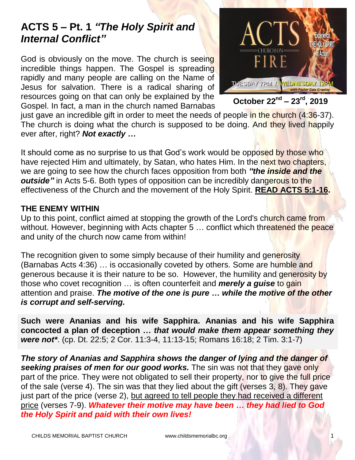## **ACTS 5 – Pt. 1** *"The Holy Spirit and Internal Conflict"*

God is obviously on the move. The church is seeing incredible things happen. The Gospel is spreading rapidly and many people are calling on the Name of Jesus for salvation. There is a radical sharing of resources going on that can only be explained by the Gospel. In fact, a man in the church named Barnabas



**October 22nd – 23rd, 2019**

just gave an incredible gift in order to meet the needs of people in the church (4:36-37). The church is doing what the church is supposed to be doing. And they lived happily ever after, right? *Not exactly …*

It should come as no surprise to us that God's work would be opposed by those who have rejected Him and ultimately, by Satan, who hates Him. In the next two chapters, we are going to see how the church faces opposition from both *"the inside and the outside"* in Acts 5-6. Both types of opposition can be incredibly dangerous to the effectiveness of the Church and the movement of the Holy Spirit. **READ ACTS 5:1-16.**

## **THE ENEMY WITHIN**

Up to this point, conflict aimed at stopping the growth of the Lord's church came from without. However, beginning with Acts chapter 5 ... conflict which threatened the peace and unity of the church now came from within!

The recognition given to some simply because of their humility and generosity (Barnabas Acts 4:36) … is occasionally coveted by others. Some are humble and generous because it is their nature to be so. However, the humility and generosity by those who covet recognition … is often counterfeit and *merely a guise* to gain attention and praise. *The motive of the one is pure … while the motive of the other is corrupt and self-serving.*

**Such were Ananias and his wife Sapphira. Ananias and his wife Sapphira concocted a plan of deception …** *that would make them appear something they were not\**. (cp. Dt. 22:5; 2 Cor. 11:3-4, 11:13-15; Romans 16:18; 2 Tim. 3:1-7)

*The story of Ananias and Sapphira shows the danger of lying and the danger of seeking praises of men for our good works.* The sin was not that they gave only part of the price. They were not obligated to sell their property, nor to give the full price of the sale (verse 4). The sin was that they lied about the gift (verses 3, 8). They gave just part of the price (verse 2), but agreed to tell people they had received a different price (verses 7-9). *Whatever their motive may have been … they had lied to God the Holy Spirit and paid with their own lives!*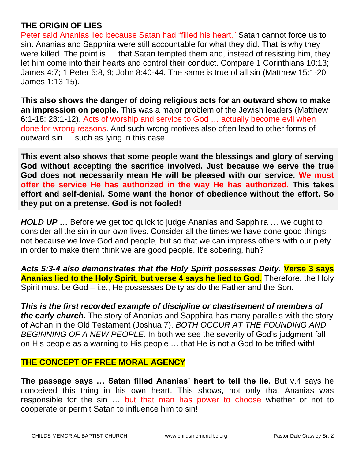## **THE ORIGIN OF LIES**

Peter said Ananias lied because Satan had "filled his heart." Satan cannot force us to sin. Ananias and Sapphira were still accountable for what they did. That is why they were killed. The point is … that Satan tempted them and, instead of resisting him, they let him come into their hearts and control their conduct. Compare 1 Corinthians 10:13; James 4:7; 1 Peter 5:8, 9; John 8:40-44. The same is true of all sin (Matthew 15:1-20; James 1:13-15).

**This also shows the danger of doing religious acts for an outward show to make an impression on people.** This was a major problem of the Jewish leaders (Matthew 6:1-18; 23:1-12). Acts of worship and service to God … actually become evil when done for wrong reasons. And such wrong motives also often lead to other forms of outward sin … such as lying in this case.

**This event also shows that some people want the blessings and glory of serving God without accepting the sacrifice involved. Just because we serve the true God does not necessarily mean He will be pleased with our service. We must offer the service He has authorized in the way He has authorized. This takes effort and self-denial. Some want the honor of obedience without the effort. So they put on a pretense. God is not fooled!**

*HOLD UP ...* Before we get too quick to judge Ananias and Sapphira ... we ought to consider all the sin in our own lives. Consider all the times we have done good things, not because we love God and people, but so that we can impress others with our piety in order to make them think we are good people. It's sobering, huh?

*Acts 5:3-4 also demonstrates that the Holy Spirit possesses Deity.* **Verse 3 says Ananias lied to the Holy Spirit, but verse 4 says he lied to God.** Therefore, the Holy Spirit must be God – i.e., He possesses Deity as do the Father and the Son.

*This is the first recorded example of discipline or chastisement of members of the early church.* The story of Ananias and Sapphira has many parallels with the story of Achan in the Old Testament (Joshua 7). *BOTH OCCUR AT THE FOUNDING AND BEGINNING OF A NEW PEOPLE.* In both we see the severity of God's judgment fall on His people as a warning to His people … that He is not a God to be trifled with!

## **THE CONCEPT OF FREE MORAL AGENCY**

**The passage says … Satan filled Ananias' heart to tell the lie.** But v.4 says he conceived this thing in his own heart. This shows, not only that Ananias was responsible for the sin … but that man has power to choose whether or not to cooperate or permit Satan to influence him to sin!